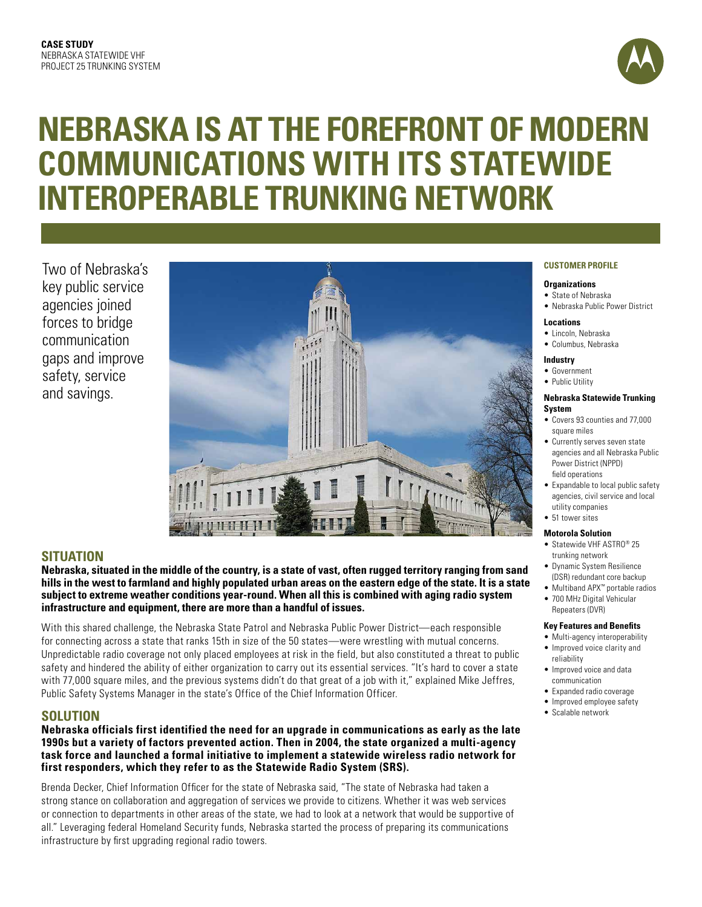

# **Nebraska is at the forefront of modern communications with its statewide interoperable trunking network**

Two of Nebraska's key public service agencies joined forces to bridge communication gaps and improve safety, service and savings.



# **Situation**

**Nebraska, situated in the middle of the country, is a state of vast, often rugged territory ranging from sand hills in the west to farmland and highly populated urban areas on the eastern edge of the state. It is a state subject to extreme weather conditions year-round. When all this is combined with aging radio system infrastructure and equipment, there are more than a handful of issues.** 

With this shared challenge, the Nebraska State Patrol and Nebraska Public Power District—each responsible for connecting across a state that ranks 15th in size of the 50 states—were wrestling with mutual concerns. Unpredictable radio coverage not only placed employees at risk in the field, but also constituted a threat to public safety and hindered the ability of either organization to carry out its essential services. "It's hard to cover a state with 77,000 square miles, and the previous systems didn't do that great of a job with it," explained Mike Jeffres, Public Safety Systems Manager in the state's Office of the Chief Information Officer.

## **Solution**

**Nebraska officials first identified the need for an upgrade in communications as early as the late 1990s but a variety of factors prevented action. Then in 2004, the state organized a multi-agency task force and launched a formal initiative to implement a statewide wireless radio network for first responders, which they refer to as the Statewide Radio System (SRS).** 

Brenda Decker, Chief Information Officer for the state of Nebraska said, "The state of Nebraska had taken a strong stance on collaboration and aggregation of services we provide to citizens. Whether it was web services or connection to departments in other areas of the state, we had to look at a network that would be supportive of all." Leveraging federal Homeland Security funds, Nebraska started the process of preparing its communications infrastructure by first upgrading regional radio towers.

## **CUSTOMER PROFILE**

#### **Organizations**

- • State of Nebraska
- Nebraska Public Power District

#### **Locations**

- • Lincoln, Nebraska
- • Columbus, Nebraska

#### **Industry**

• Government • Public Utility

# **Nebraska Statewide Trunking**

- **System** • Covers 93 counties and 77,000 square miles
- Currently serves seven state agencies and all Nebraska Public Power District (NPPD) field operations
- Expandable to local public safety agencies, civil service and local utility companies
- 51 tower sites

## **Motorola Solution**

- Statewide VHF ASTRO® 25 trunking network
- **•** Dynamic System Resilience (DSR) redundant core backup
	- • Multiband APX™ portable radios
	- 700 MHz Digital Vehicular Repeaters (DVR)

#### **Key Features and Benefits**

- Multi-agency interoperability • Improved voice clarity and
	- reliability • Improved voice and data
	- communication
	- Expanded radio coverage
	- Improved employee safety
	- Scalable network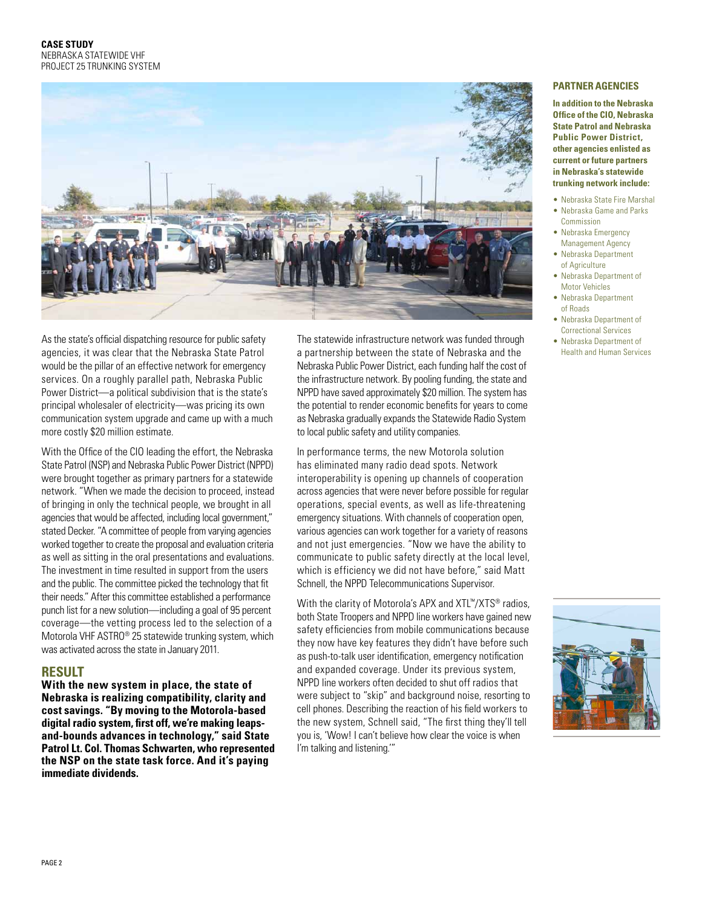

As the state's official dispatching resource for public safety agencies, it was clear that the Nebraska State Patrol would be the pillar of an effective network for emergency services. On a roughly parallel path, Nebraska Public Power District—a political subdivision that is the state's principal wholesaler of electricity—was pricing its own communication system upgrade and came up with a much more costly \$20 million estimate.

With the Office of the CIO leading the effort, the Nebraska State Patrol (NSP) and Nebraska Public Power District (NPPD) were brought together as primary partners for a statewide network. "When we made the decision to proceed, instead of bringing in only the technical people, we brought in all agencies that would be affected, including local government," stated Decker."A committee of people from varying agencies worked together to create the proposal and evaluation criteria as well as sitting in the oral presentations and evaluations. The investment in time resulted in support from the users and the public. The committee picked the technology that fit their needs." After this committee established a performance punch list for a new solution—including a goal of 95 percent coverage—the vetting process led to the selection of a Motorola VHF ASTRO® 25 statewide trunking system, which was activated across the state in January 2011.

## **Result**

**With the new system in place, the state of Nebraska is realizing compatibility, clarity and cost savings. "By moving to the Motorola-based digital radio system, first off, we're making leapsand-bounds advances in technology," said State Patrol Lt. Col. Thomas Schwarten, who represented the NSP on the state task force. And it's paying immediate dividends.** 

The statewide infrastructure network was funded through a partnership between the state of Nebraska and the Nebraska Public Power District, each funding half the cost of the infrastructure network. By pooling funding, the state and NPPD have saved approximately \$20 million. The system has the potential to render economic benefits for years to come as Nebraska gradually expands the Statewide Radio System to local public safety and utility companies.

In performance terms, the new Motorola solution has eliminated many radio dead spots. Network interoperability is opening up channels of cooperation across agencies that were never before possible for regular operations, special events, as well as life-threatening emergency situations. With channels of cooperation open, various agencies can work together for a variety of reasons and not just emergencies. "Now we have the ability to communicate to public safety directly at the local level, which is efficiency we did not have before," said Matt Schnell, the NPPD Telecommunications Supervisor.

With the clarity of Motorola's APX and XTL™/XTS<sup>®</sup> radios, both State Troopers and NPPD line workers have gained new safety efficiencies from mobile communications because they now have key features they didn't have before such as push-to-talk user identification, emergency notification and expanded coverage. Under its previous system, NPPD line workers often decided to shut off radios that were subject to "skip" and background noise, resorting to cell phones. Describing the reaction of his field workers to the new system, Schnell said, "The first thing they'll tell you is, 'Wow! I can't believe how clear the voice is when I'm talking and listening.'"

## **PARTNER AGENCIES**

**In addition to the Nebraska Office of the CIO, Nebraska State Patrol and Nebraska Public Power District, other agencies enlisted as current or future partners in Nebraska's statewide trunking network include:**

- Nebraska State Fire Marshal
- Nebraska Game and Parks Commission
- Nebraska Emergency Management Agency
- Nebraska Department of Agriculture
- Nebraska Department of Motor Vehicles
- • Nebraska Department of Roads
- Nebraska Department of Correctional Services
- • Nebraska Department of Health and Human Services

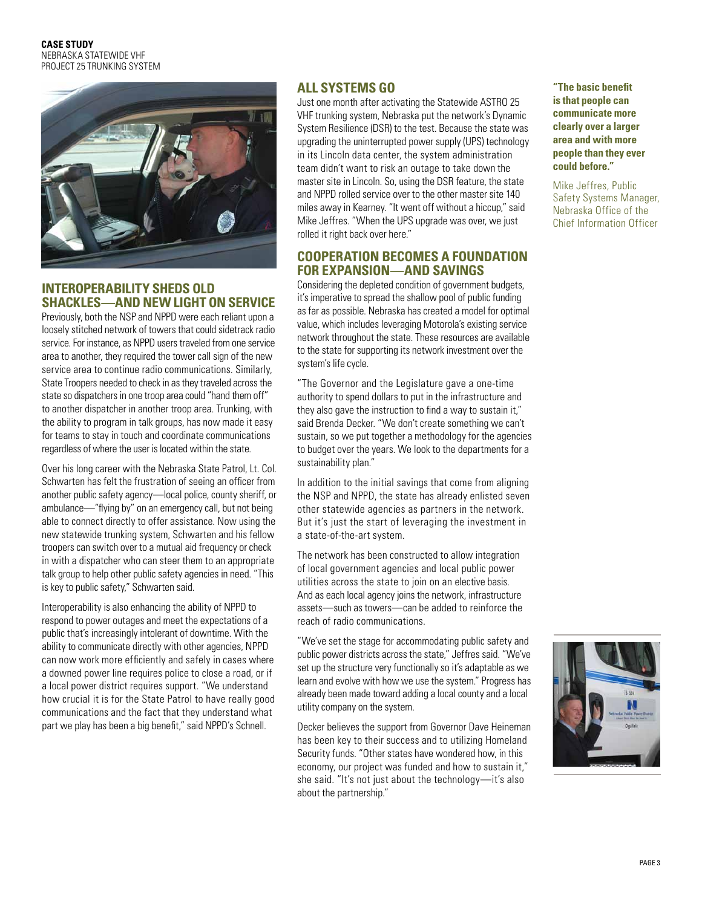

## **Interoperability sheds old shackles—and new light on service**

Previously, both the NSP and NPPD were each reliant upon a loosely stitched network of towers that could sidetrack radio service. For instance, as NPPD users traveled from one service area to another, they required the tower call sign of the new service area to continue radio communications. Similarly, State Troopers needed to check in as they traveled across the state so dispatchers in one troop area could "hand them off" to another dispatcher in another troop area. Trunking, with the ability to program in talk groups, has now made it easy for teams to stay in touch and coordinate communications regardless of where the user is located within the state.

Over his long career with the Nebraska State Patrol, Lt. Col. Schwarten has felt the frustration of seeing an officer from another public safety agency—local police, county sheriff, or ambulance—"flying by" on an emergencycall, but not being able to connect directly to offer assistance. Now using the new statewide trunking system, Schwarten and his fellow troopers can switch over to a mutual aid frequency or check in with a dispatcher who can steer them to an appropriate talk group to help other public safety agencies in need. "This is key to public safety," Schwarten said.

Interoperability is also enhancing the ability of NPPD to respond to power outages and meet the expectations of a public that's increasingly intolerant of downtime. With the ability to communicate directly with other agencies, NPPD can now work more efficiently and safely in cases where a downed power line requires police to close a road, or if a local power district requires support. "We understand how crucial it is for the State Patrol to have really good communications and the fact that they understand what part we play has been a big benefit," said NPPD's Schnell.

# **All systems go**

Just one month after activating the Statewide ASTRO 25 VHF trunking system, Nebraska put the network's Dynamic System Resilience (DSR) to the test. Because the state was upgrading the uninterrupted power supply (UPS) technology in its Lincoln data center, the system administration team didn't want to risk an outage to take down the master site in Lincoln. So, using the DSR feature, the state and NPPD rolled service over to the other master site 140 miles away in Kearney. "It went off without a hiccup," said Mike Jeffres. "When the UPS upgrade was over, we just rolled it right back over here."

# **Cooperation becomes a foundation for expansion—and savings**

Considering the depleted condition of government budgets, it's imperative to spread the shallow pool of public funding as far as possible. Nebraska has created a model for optimal value, which includes leveraging Motorola's existing service network throughout the state. These resources are available to the state for supporting its network investment over the system's life cycle.

"The Governor and the Legislature gave a one-time authority to spend dollars to put in the infrastructure and they also gave the instruction to find a way to sustain it," said Brenda Decker. "We don't create something we can't sustain, so we put together a methodology for the agencies to budget over the years. We look to the departments for a sustainability plan."

In addition to the initial savings that come from aligning the NSP and NPPD, the state has already enlisted seven other statewide agencies as partners in the network. But it's just the start of leveraging the investment in a state-of-the-art system.

The network has been constructed to allow integration of local government agencies and local public power utilities across the state to join on an elective basis. And as each local agency joins the network, infrastructure assets—such astowers—can be added to reinforce the reach of radio communications.

"We've set the stage for accommodating public safety and public power districts across the state," Jeffres said. "We've set up the structure very functionally so it's adaptable as we learn and evolve with how we use the system." Progress has already been made toward adding a local county and a local utilitycompany on the system.

Decker believes the support from Governor Dave Heineman has been key to their success and to utilizing Homeland Security funds. "Other states have wondered how, in this economy, our project was funded and how to sustain it," she said. "It's not just about the technology—it's also about the partnership."

**"The basic benefit is that people can communicate more clearly over a larger area and with more people than they ever could before."** 

Mike Jeffres, Public Safety Systems Manager, Nebraska Office of the Chief Information Officer